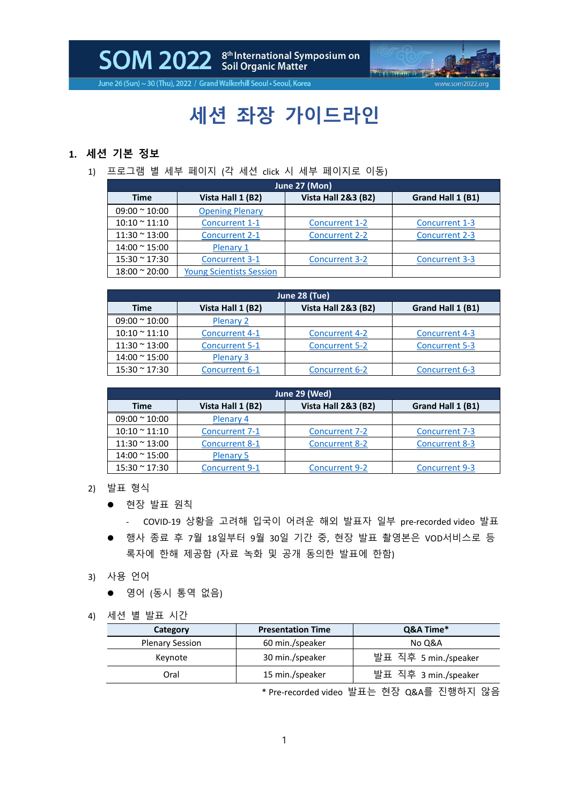SOM 2022 Scil Organic Matter



June 26 (Sun) ~ 30 (Thu), 2022 / Grand Walkerhill Seoul . Seoul, Korea

## **세션 좌장 가이드라인**

## **1. 세션 기본 정보**

1) 프로그램 별 세부 페이지 (각 세션 click 시 세부 페이지로 이동)

| June 27 (Mon)         |                                 |                                |                       |
|-----------------------|---------------------------------|--------------------------------|-----------------------|
| Time                  | Vista Hall 1 (B2)               | <b>Vista Hall 2&amp;3 (B2)</b> | Grand Hall 1 (B1)     |
| $09:00 \approx 10:00$ | <b>Opening Plenary</b>          |                                |                       |
| $10:10 \approx 11:10$ | Concurrent 1-1                  | <b>Concurrent 1-2</b>          | Concurrent 1-3        |
| $11:30 \approx 13:00$ | <b>Concurrent 2-1</b>           | <b>Concurrent 2-2</b>          | Concurrent 2-3        |
| $14:00 \approx 15:00$ | Plenary 1                       |                                |                       |
| $15:30 \approx 17:30$ | <b>Concurrent 3-1</b>           | <b>Concurrent 3-2</b>          | <b>Concurrent 3-3</b> |
| $18:00 \approx 20:00$ | <b>Young Scientists Session</b> |                                |                       |

| June 28 (Tue)         |                       |                                |                       |
|-----------------------|-----------------------|--------------------------------|-----------------------|
| <b>Time</b>           | Vista Hall 1 (B2)     | <b>Vista Hall 2&amp;3 (B2)</b> | Grand Hall 1 (B1)     |
| $09:00 \approx 10:00$ | <b>Plenary 2</b>      |                                |                       |
| $10:10 \approx 11:10$ | <b>Concurrent 4-1</b> | <b>Concurrent 4-2</b>          | <b>Concurrent 4-3</b> |
| $11:30 \approx 13:00$ | <b>Concurrent 5-1</b> | <b>Concurrent 5-2</b>          | <b>Concurrent 5-3</b> |
| $14:00 \approx 15:00$ | Plenary 3             |                                |                       |
| $15:30 \approx 17:30$ | Concurrent 6-1        | <b>Concurrent 6-2</b>          | Concurrent 6-3        |

| June 29 (Wed)         |                       |                                |                       |
|-----------------------|-----------------------|--------------------------------|-----------------------|
| Time                  | Vista Hall 1 (B2)     | <b>Vista Hall 2&amp;3 (B2)</b> | Grand Hall 1 (B1)     |
| $09:00 \approx 10:00$ | Plenary 4             |                                |                       |
| $10:10 \approx 11:10$ | <b>Concurrent 7-1</b> | <b>Concurrent 7-2</b>          | <b>Concurrent 7-3</b> |
| $11:30 \approx 13:00$ | <b>Concurrent 8-1</b> | <b>Concurrent 8-2</b>          | <b>Concurrent 8-3</b> |
| $14:00 \approx 15:00$ | <b>Plenary 5</b>      |                                |                       |
| $15:30 \approx 17:30$ | <b>Concurrent 9-1</b> | <b>Concurrent 9-2</b>          | <b>Concurrent 9-3</b> |

- 2) 발표 형식
	- 현장 발표 원칙

- COVID-19 상황을 고려해 입국이 어려운 해외 발표자 일부 pre-recorded video 발표

- ⚫ 행사 종료 후 7월 18일부터 9월 30일 기간 중, 현장 발표 촬영본은 VOD서비스로 등 록자에 한해 제공함 (자료 녹화 및 공개 동의한 발표에 한함)
- 3) 사용 언어
	- 영어 (동시 통역 없음)
- 4) 세션 별 발표 시간

| Category               | <b>Presentation Time</b> | Q&A Time*            |
|------------------------|--------------------------|----------------------|
| <b>Plenary Session</b> | 60 min./speaker          | No Q&A               |
| Keynote                | 30 min./speaker          | 발표 직후 5 min./speaker |
| Oral                   | 15 min./speaker          | 발표 직후 3 min./speaker |

\* Pre-recorded video 발표는 현장 Q&A를 진행하지 않음